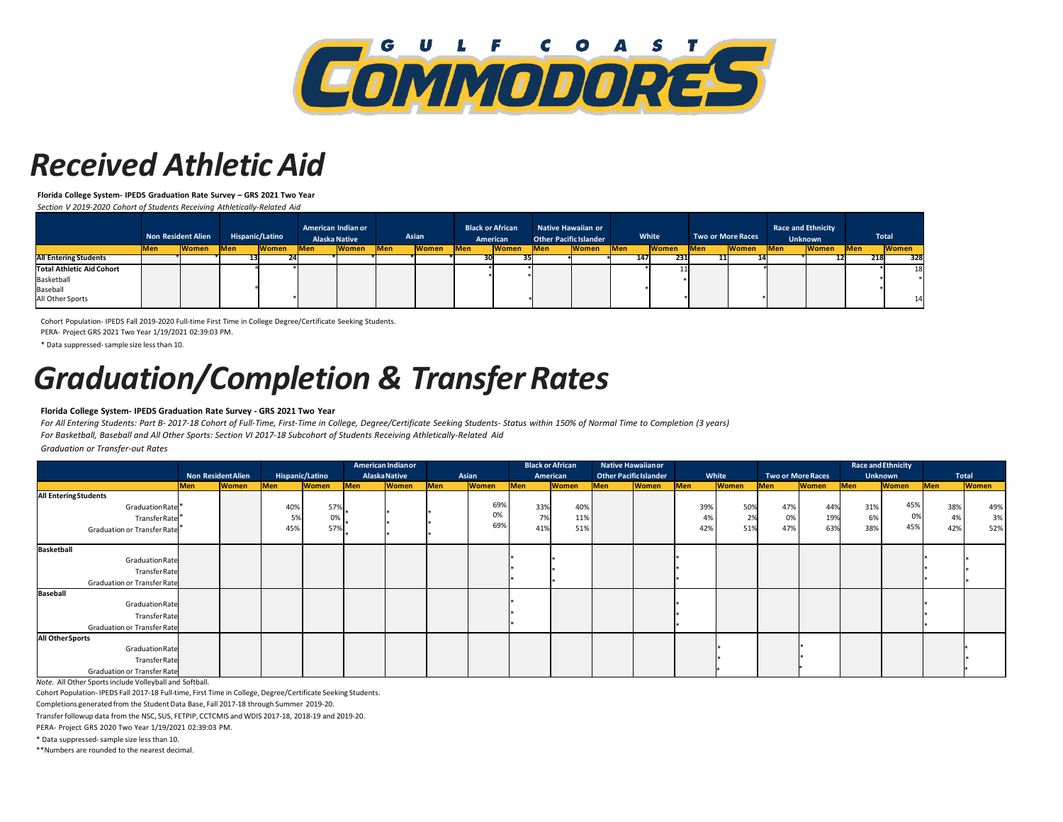

### *Received Athletic Aid*

**Florida College System- IPEDS Graduation Rate Survey – GRS 2021 Two Year** 

*Section V 2019-2020 Cohort of Students Receiving Athletically-Related Aid* 

|                                  | <b>Non Resident Alien</b> |              |            |              |            |              |            |              |            | <b>Hispanic/Latino</b> |            | American Indian or<br><b>Alaska Native</b> |            | Asian        | <b>Black or African</b><br>American |              | <b>Other Pacific Islander</b> | <b>Native Hawaiian or</b> |             | White        |  | <b>Two or More Races</b> | <b>Race and Ethnicity</b> | <b>Unknown</b> |  | Total |
|----------------------------------|---------------------------|--------------|------------|--------------|------------|--------------|------------|--------------|------------|------------------------|------------|--------------------------------------------|------------|--------------|-------------------------------------|--------------|-------------------------------|---------------------------|-------------|--------------|--|--------------------------|---------------------------|----------------|--|-------|
|                                  | <b>Men</b>                | <b>Women</b> | <b>Men</b> | <b>Women</b> | <b>Men</b> | <b>Women</b> | <b>Men</b> | <b>Women</b> | <b>Men</b> | <b>Women</b>           | <b>Men</b> | <b>Women</b>                               | <b>Men</b> | <b>Women</b> | <b>Men</b>                          | <b>Women</b> | <b>IMen</b>                   | <b>Women</b>              | <b>IMen</b> | <b>Women</b> |  |                          |                           |                |  |       |
| <b>All Entering Students</b>     |                           |              |            |              |            |              |            |              |            |                        |            |                                            | 147        | 231          | 11                                  |              |                               |                           |             | 328<br>-218  |  |                          |                           |                |  |       |
| <b>Total Athletic Aid Cohort</b> |                           |              |            |              |            |              |            |              |            |                        |            |                                            |            |              |                                     |              |                               |                           |             | 18           |  |                          |                           |                |  |       |
| Basketball                       |                           |              |            |              |            |              |            |              |            |                        |            |                                            |            |              |                                     |              |                               |                           |             |              |  |                          |                           |                |  |       |
| Baseball                         |                           |              |            |              |            |              |            |              |            |                        |            |                                            |            |              |                                     |              |                               |                           |             |              |  |                          |                           |                |  |       |
| All Other Sports                 |                           |              |            |              |            |              |            |              |            |                        |            |                                            |            |              |                                     |              |                               |                           |             | 14           |  |                          |                           |                |  |       |

Cohort Population- IPEDS Fall 2019-2020 Full-time First Time in College Degree/Certificate Seeking Students.

PERA- Project GRS 2021 Two Year 1/19/2021 02:39:03 PM.

\* Data suppressed-sample size less than 10.

# *Graduation/Completion & Transfer Rates*

#### **Florida College System- IPEDS Graduation Rate Survey - GRS 2021 Two Year**

*For All Entering Students: Part B- 2017-18 Cohort of Full-Time, First-Time in College, Degree/Certificate Seeking Students- Status within 150% of Normal Time to Completion (3 years) For Basketball, Baseball and All Other Sports: Section VI 2017-18 Subcohort of Students Receiving Athletically-Related Aid* 

*Graduation or Transfer-out Rates* 

|                             |                           |              |                 |              | American Indian or   |              |       |              | <b>Black or African</b> |              |                               | <b>Native Hawaiian or</b> |       |              |                          |              |                | <b>Race and Ethnicity</b> |              |              |
|-----------------------------|---------------------------|--------------|-----------------|--------------|----------------------|--------------|-------|--------------|-------------------------|--------------|-------------------------------|---------------------------|-------|--------------|--------------------------|--------------|----------------|---------------------------|--------------|--------------|
|                             | <b>Non Resident Alien</b> |              | Hispanic/Latino |              | <b>Alaska Native</b> |              | Asian |              | American                |              | <b>Other Pacific Islander</b> |                           | White |              | <b>Two or More Races</b> |              | <b>Unknown</b> |                           | <b>Total</b> |              |
|                             | Men                       | <b>Women</b> | Men             | <b>Women</b> | Men                  | <b>Women</b> | Men   | <b>Women</b> | Men                     | <b>Women</b> | Men                           | <b>Women</b>              | Men   | <b>Women</b> | Men                      | <b>Women</b> | Men            | <b>Women</b>              | Men          | <b>Women</b> |
| <b>All EnteringStudents</b> |                           |              |                 |              |                      |              |       |              |                         |              |                               |                           |       |              |                          |              |                |                           |              |              |
| Graduation Rate             |                           |              | 40%             | 57%          |                      |              |       | 69%          | 33%                     | 40%          |                               |                           | 39%   | 50%          | 47%                      | 44%          | 31%            | 45%                       | 38%          | 49%          |
| TransferRate                |                           |              | 5%              | 0%           |                      |              |       | 0%           | 7%                      | 11%          |                               |                           | 4%    | 2%           | 0%                       | 19%          | 6%             | 0%                        | 4%           | 3%           |
| Graduation or Transfer Rate |                           |              | 45%             | 57%          |                      |              |       | 69%          | 41%                     | 51%          |                               |                           | 42%   | 51%          | 47%                      | 63%          | 38%            | 45%                       | 42%          | 52%          |
|                             |                           |              |                 |              |                      |              |       |              |                         |              |                               |                           |       |              |                          |              |                |                           |              |              |
| Basketball                  |                           |              |                 |              |                      |              |       |              |                         |              |                               |                           |       |              |                          |              |                |                           |              |              |
| Graduation Rate             |                           |              |                 |              |                      |              |       |              |                         |              |                               |                           |       |              |                          |              |                |                           |              |              |
| TransferRate                |                           |              |                 |              |                      |              |       |              |                         |              |                               |                           |       |              |                          |              |                |                           |              |              |
| Graduation or Transfer Rate |                           |              |                 |              |                      |              |       |              |                         |              |                               |                           |       |              |                          |              |                |                           |              |              |
| Baseball                    |                           |              |                 |              |                      |              |       |              |                         |              |                               |                           |       |              |                          |              |                |                           |              |              |
| Graduation Rate             |                           |              |                 |              |                      |              |       |              |                         |              |                               |                           |       |              |                          |              |                |                           |              |              |
| TransferRate                |                           |              |                 |              |                      |              |       |              |                         |              |                               |                           |       |              |                          |              |                |                           |              |              |
| Graduation or Transfer Rate |                           |              |                 |              |                      |              |       |              |                         |              |                               |                           |       |              |                          |              |                |                           |              |              |
| All Other Sports            |                           |              |                 |              |                      |              |       |              |                         |              |                               |                           |       |              |                          |              |                |                           |              |              |
| Graduation Rate             |                           |              |                 |              |                      |              |       |              |                         |              |                               |                           |       |              |                          |              |                |                           |              |              |
| TransferRate                |                           |              |                 |              |                      |              |       |              |                         |              |                               |                           |       |              |                          |              |                |                           |              |              |
| Graduation or Transfer Rate |                           |              |                 |              |                      |              |       |              |                         |              |                               |                           |       |              |                          |              |                |                           |              |              |

*Note.* All Other Sports include Volleyball and Softball.

Cohort Population- IPEDS Fall 2017-18 Full-time, First Time in College, Degree/Certificate Seeking Students.

Completions generated from the Student Data Base, Fall 2017-18 through Summer 2019-20.

Transfer followup data from the NSC, SUS, FETPIP, CCTCMIS and WDIS 2017-18, 2018-19 and 2019-20.

PERA- Project GRS 2020 Two Year 1/19/2021 02:39:03 PM.

\* Data suppressed-sample size less than 10.

\*\*Numbers are rounded to the nearest decimal.